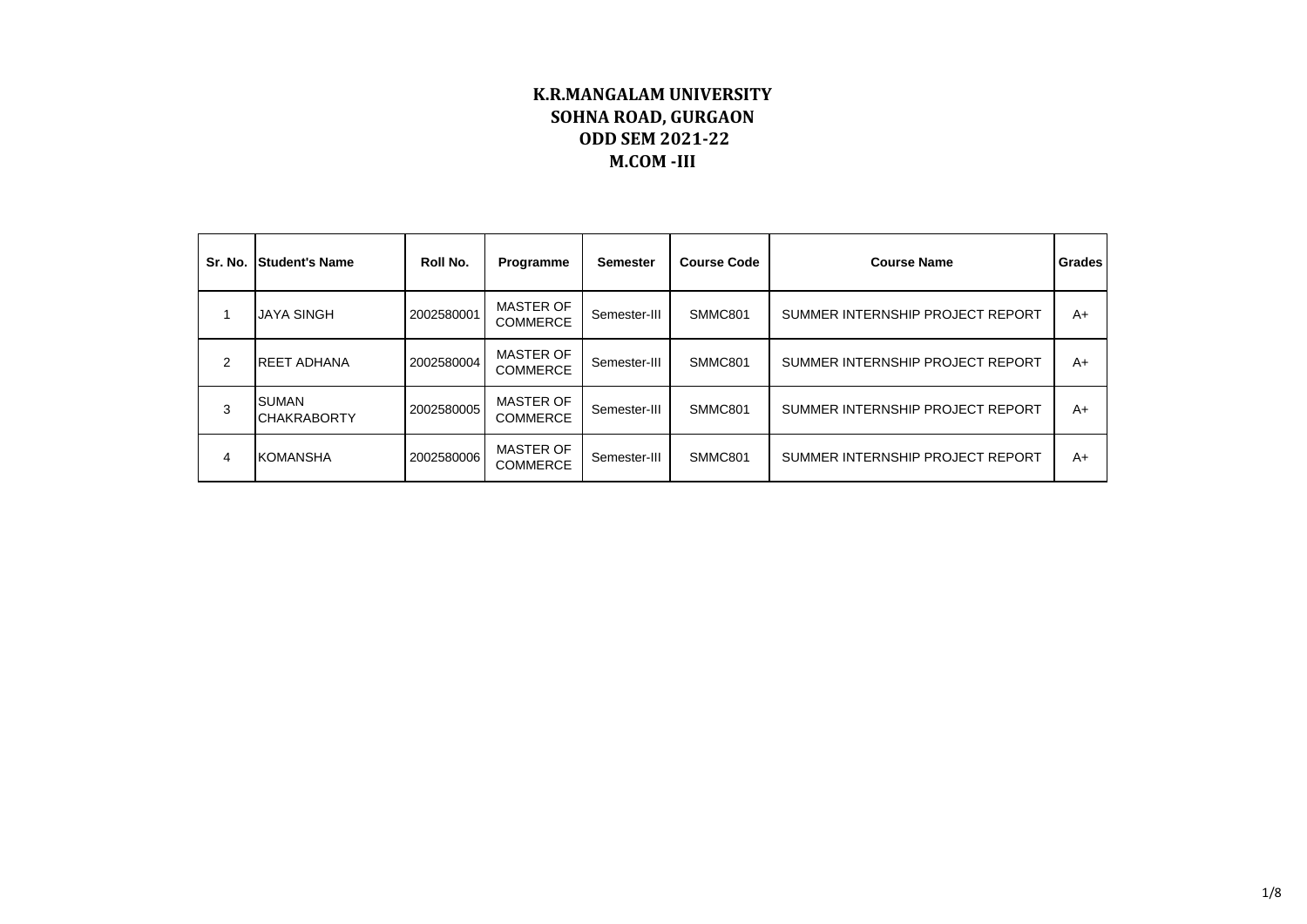| Sr. No. | <b>Student's Name</b>              | Roll No.   | Programme                           | <b>Semester</b>                                             | <b>Course Code</b> | <b>Course Name</b>               | <b>Grades</b> |
|---------|------------------------------------|------------|-------------------------------------|-------------------------------------------------------------|--------------------|----------------------------------|---------------|
|         | <b>JAYA SINGH</b>                  | 2002580001 | <b>MASTER OF</b><br><b>COMMERCE</b> | SMMC801<br>SUMMER INTERNSHIP PROJECT REPORT<br>Semester-III |                    | $A+$                             |               |
| 2       | <b>REET ADHANA</b>                 | 2002580004 | <b>MASTER OF</b><br><b>COMMERCE</b> | Semester-III                                                | SMMC801            | SUMMER INTERNSHIP PROJECT REPORT | $A+$          |
| 3       | <b>SUMAN</b><br><b>CHAKRABORTY</b> | 2002580005 | <b>MASTER OF</b><br><b>COMMERCE</b> | Semester-III                                                | SMMC801            | SUMMER INTERNSHIP PROJECT REPORT | $A+$          |
| 4       | <b>KOMANSHA</b>                    | 2002580006 | <b>MASTER OF</b><br><b>COMMERCE</b> | Semester-III                                                | SMMC801            | SUMMER INTERNSHIP PROJECT REPORT | $A+$          |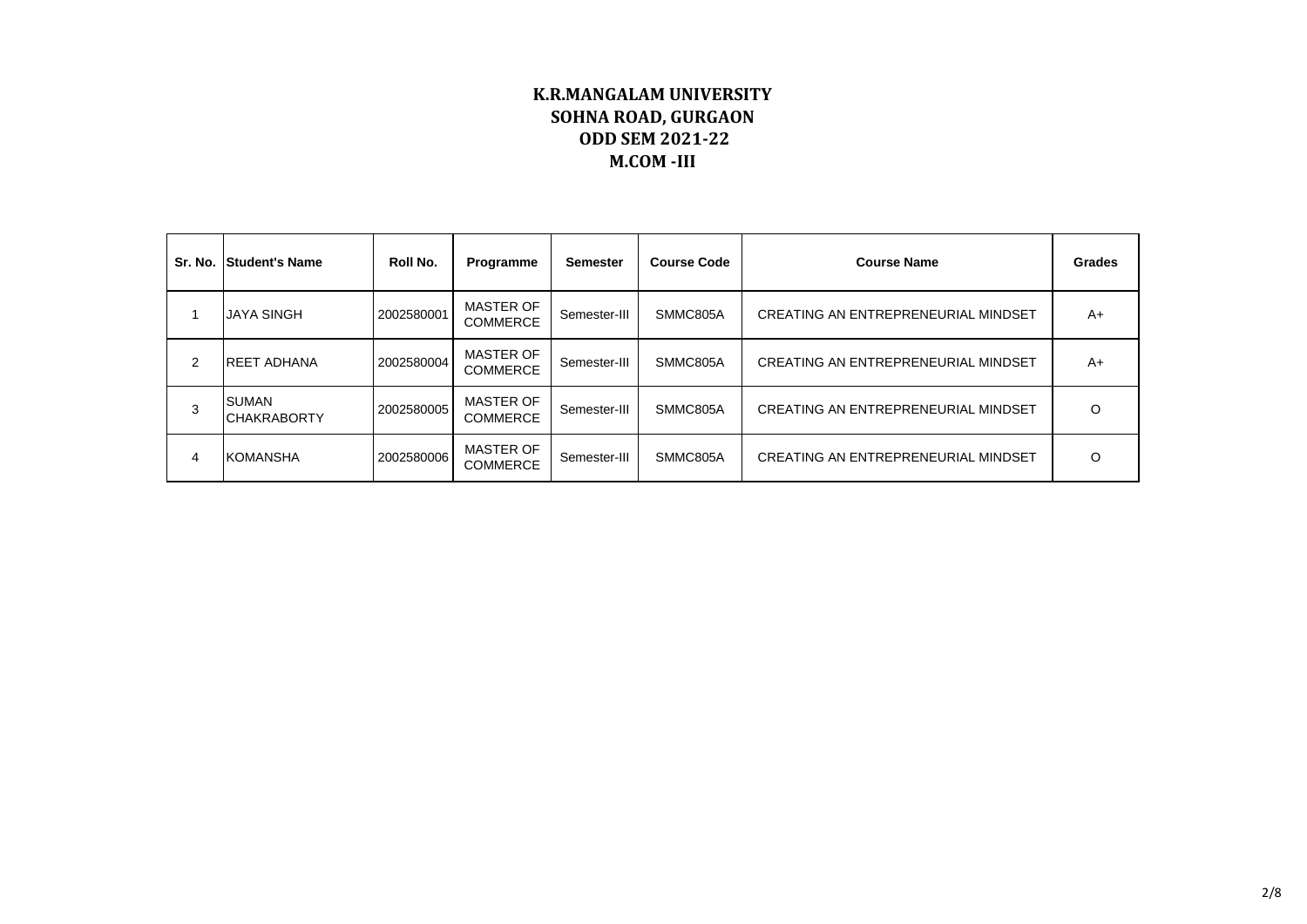| Sr. No. | <b>Student's Name</b>              | Roll No.   | Programme                           | <b>Semester</b> | <b>Course Code</b> | <b>Course Name</b>                  | <b>Grades</b> |
|---------|------------------------------------|------------|-------------------------------------|-----------------|--------------------|-------------------------------------|---------------|
|         | <b>JAYA SINGH</b>                  | 2002580001 | <b>MASTER OF</b><br><b>COMMERCE</b> | Semester-III    | SMMC805A           | CREATING AN ENTREPRENEURIAL MINDSET | A+            |
| 2       | <b>REET ADHANA</b>                 | 2002580004 | <b>MASTER OF</b><br><b>COMMERCE</b> | Semester-III    | SMMC805A           | CREATING AN ENTREPRENEURIAL MINDSET | A+            |
| 3       | <b>SUMAN</b><br><b>CHAKRABORTY</b> | 2002580005 | <b>MASTER OF</b><br><b>COMMERCE</b> | Semester-III    | SMMC805A           | CREATING AN ENTREPRENEURIAL MINDSET | $\circ$       |
| 4       | <b>KOMANSHA</b>                    | 2002580006 | <b>MASTER OF</b><br><b>COMMERCE</b> | Semester-III    | SMMC805A           | CREATING AN ENTREPRENEURIAL MINDSET | O             |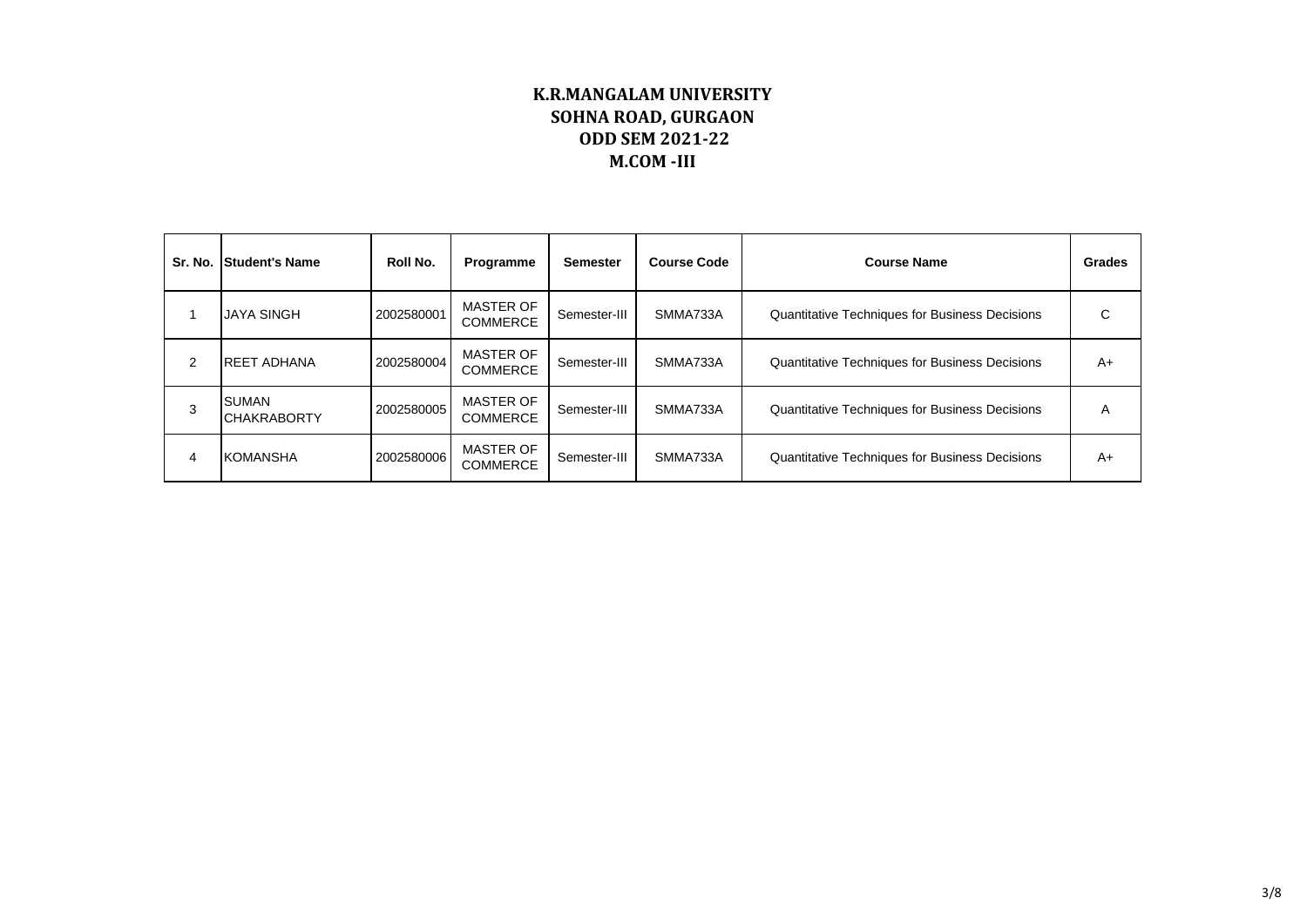| Sr. No. | <b>Student's Name</b>              | Roll No.   | Programme                           | <b>Semester</b> | <b>Course Code</b> | <b>Course Name</b>                                    | <b>Grades</b> |
|---------|------------------------------------|------------|-------------------------------------|-----------------|--------------------|-------------------------------------------------------|---------------|
|         | <b>JAYA SINGH</b>                  | 2002580001 | <b>MASTER OF</b><br><b>COMMERCE</b> | Semester-III    | SMMA733A           | Quantitative Techniques for Business Decisions        | C             |
| 2       | <b>REET ADHANA</b>                 | 2002580004 | <b>MASTER OF</b><br><b>COMMERCE</b> | Semester-III    | SMMA733A           | <b>Quantitative Techniques for Business Decisions</b> | $A+$          |
| 3       | <b>SUMAN</b><br><b>CHAKRABORTY</b> | 2002580005 | <b>MASTER OF</b><br><b>COMMERCE</b> | Semester-III    | SMMA733A           | <b>Quantitative Techniques for Business Decisions</b> | A             |
| 4       | <b>KOMANSHA</b>                    | 2002580006 | <b>MASTER OF</b><br><b>COMMERCE</b> | Semester-III    | SMMA733A           | <b>Quantitative Techniques for Business Decisions</b> | $A+$          |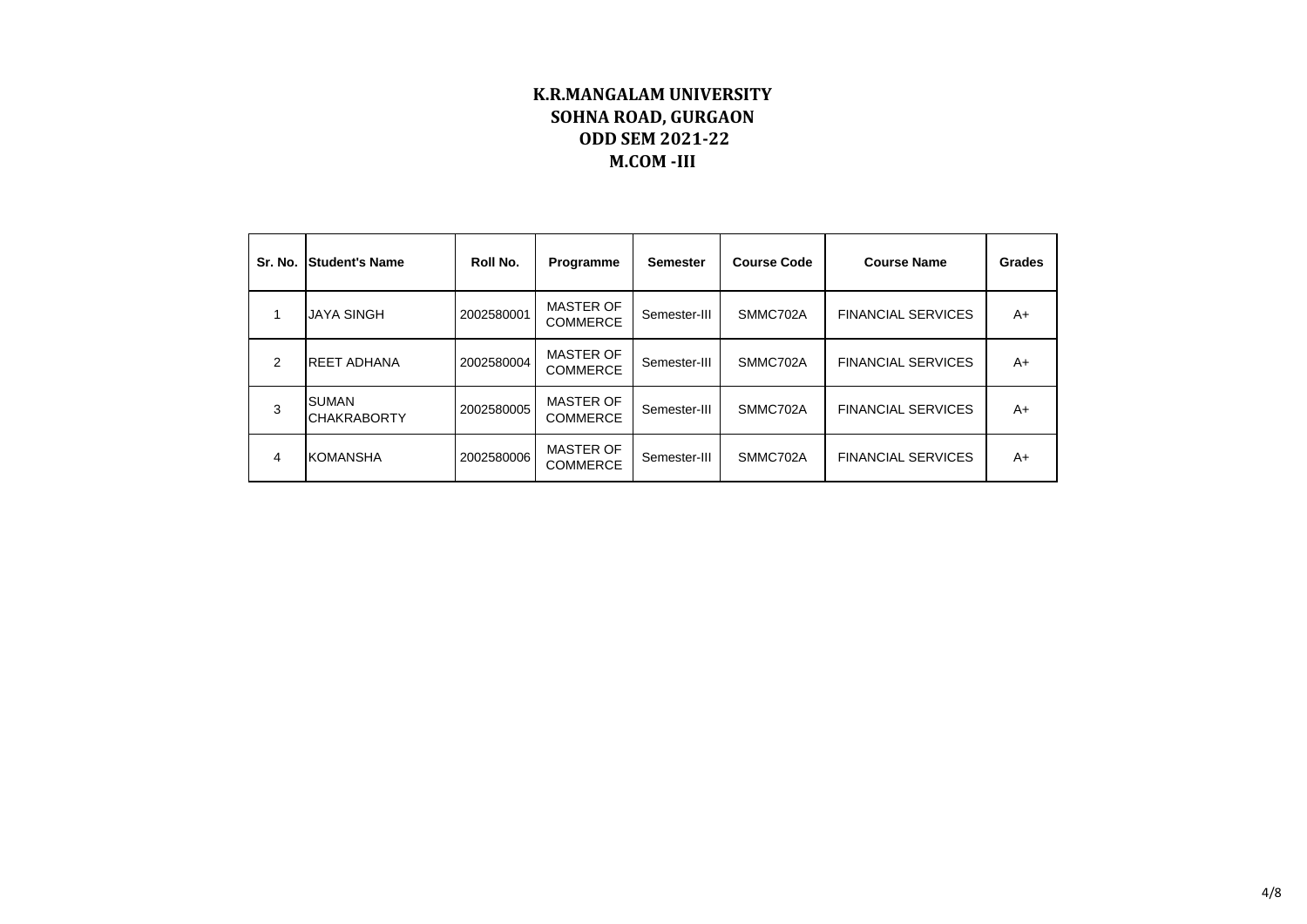| Sr. No. | <b>Student's Name</b>               | Roll No.   | Programme                           | <b>Semester</b> | <b>Course Code</b> | <b>Course Name</b>        | <b>Grades</b> |
|---------|-------------------------------------|------------|-------------------------------------|-----------------|--------------------|---------------------------|---------------|
|         | <b>JAYA SINGH</b>                   | 2002580001 | <b>MASTER OF</b><br><b>COMMERCE</b> | Semester-III    | SMMC702A           | <b>FINANCIAL SERVICES</b> | $A+$          |
| 2       | <b>REET ADHANA</b>                  | 2002580004 | <b>MASTER OF</b><br><b>COMMERCE</b> | Semester-III    | SMMC702A           | <b>FINANCIAL SERVICES</b> | $A+$          |
| 3       | <b>ISUMAN</b><br><b>CHAKRABORTY</b> | 2002580005 | <b>MASTER OF</b><br><b>COMMERCE</b> | Semester-III    | SMMC702A           | <b>FINANCIAL SERVICES</b> | $A+$          |
| 4       | <b>KOMANSHA</b>                     | 2002580006 | <b>MASTER OF</b><br><b>COMMERCE</b> | Semester-III    | SMMC702A           | <b>FINANCIAL SERVICES</b> | $A+$          |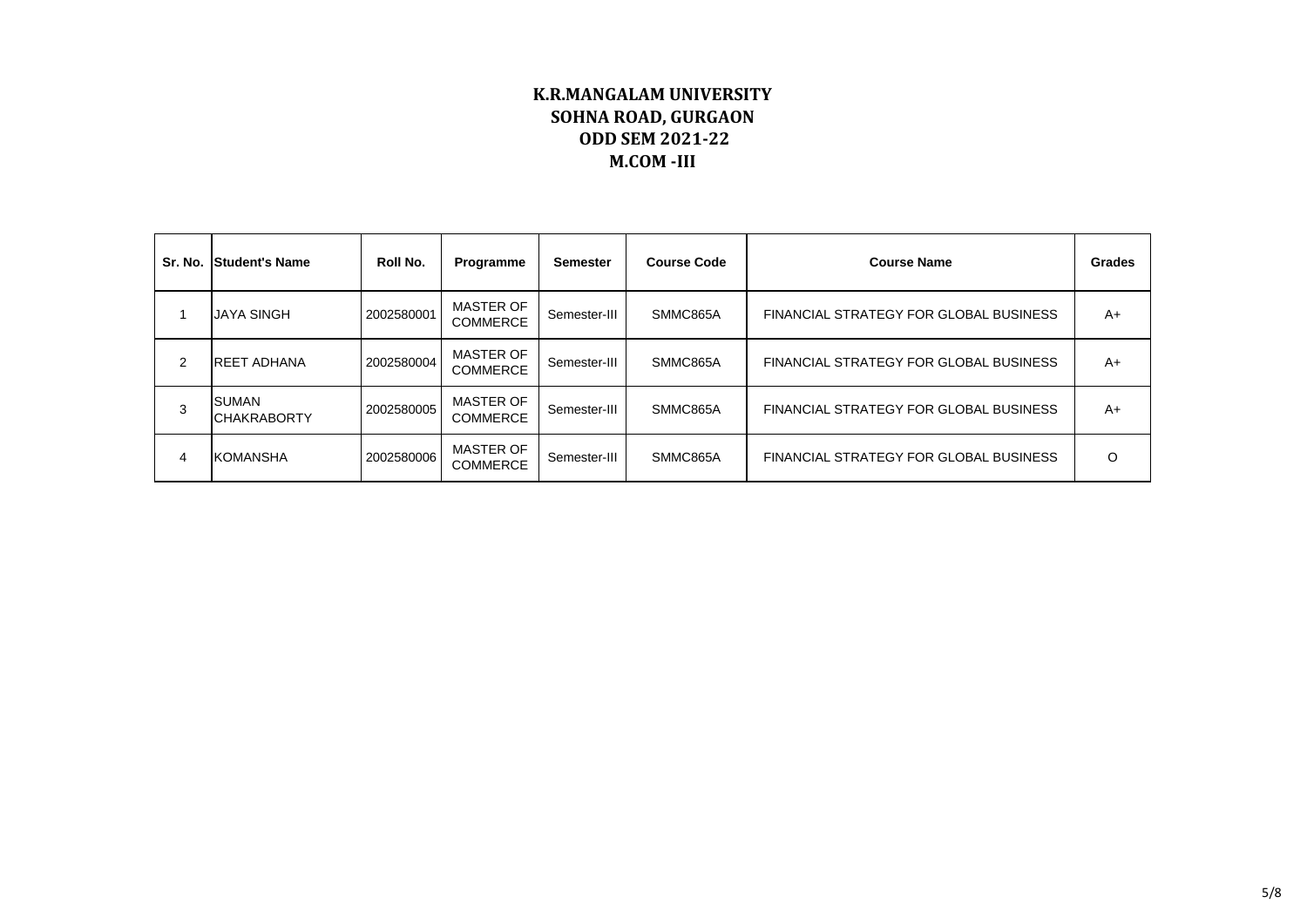| Sr. No. | <b>Student's Name</b>              | Roll No.   | Programme                           | <b>Semester</b> | <b>Course Code</b>                                 | <b>Course Name</b>                     | <b>Grades</b> |
|---------|------------------------------------|------------|-------------------------------------|-----------------|----------------------------------------------------|----------------------------------------|---------------|
|         | <b>JAYA SINGH</b>                  | 2002580001 | <b>MASTER OF</b><br><b>COMMERCE</b> | Semester-III    | SMMC865A                                           | FINANCIAL STRATEGY FOR GLOBAL BUSINESS |               |
| 2       | <b>REET ADHANA</b>                 | 2002580004 | <b>MASTER OF</b><br><b>COMMERCE</b> | Semester-III    | SMMC865A                                           | FINANCIAL STRATEGY FOR GLOBAL BUSINESS | $A+$          |
| 3       | <b>SUMAN</b><br><b>CHAKRABORTY</b> | 2002580005 | <b>MASTER OF</b><br><b>COMMERCE</b> | Semester-III    | SMMC865A<br>FINANCIAL STRATEGY FOR GLOBAL BUSINESS |                                        | $A+$          |
| 4       | <b>KOMANSHA</b>                    | 2002580006 | <b>MASTER OF</b><br><b>COMMERCE</b> | Semester-III    | SMMC865A                                           | FINANCIAL STRATEGY FOR GLOBAL BUSINESS | O             |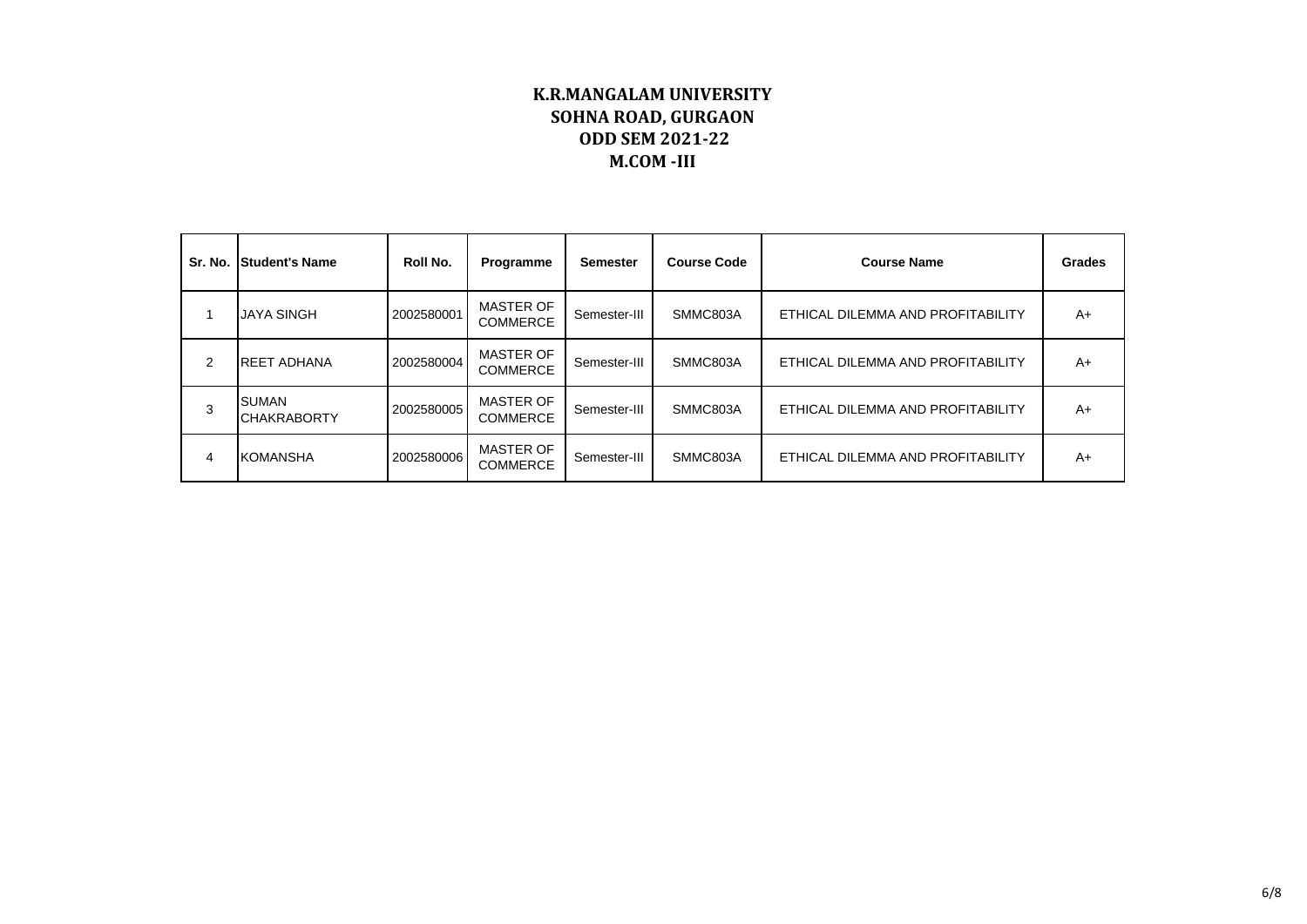| Sr. No.        | <b>Student's Name</b>              | Roll No.   | Programme                           | <b>Semester</b> | <b>Course Code</b> | <b>Course Name</b>                | <b>Grades</b> |
|----------------|------------------------------------|------------|-------------------------------------|-----------------|--------------------|-----------------------------------|---------------|
|                | <b>JAYA SINGH</b>                  | 2002580001 | <b>MASTER OF</b><br><b>COMMERCE</b> | Semester-III    | SMMC803A           | ETHICAL DILEMMA AND PROFITABILITY | $A+$          |
| $\overline{2}$ | <b>REET ADHANA</b>                 | 2002580004 | <b>MASTER OF</b><br><b>COMMERCE</b> | Semester-III    | SMMC803A           | ETHICAL DILEMMA AND PROFITABILITY | $A+$          |
| 3              | <b>SUMAN</b><br><b>CHAKRABORTY</b> | 2002580005 | <b>MASTER OF</b><br><b>COMMERCE</b> | Semester-III    | SMMC803A           | ETHICAL DILEMMA AND PROFITABILITY |               |
| 4              | <b>KOMANSHA</b>                    | 2002580006 | <b>MASTER OF</b><br><b>COMMERCE</b> | Semester-III    | SMMC803A           | ETHICAL DILEMMA AND PROFITABILITY | $A+$          |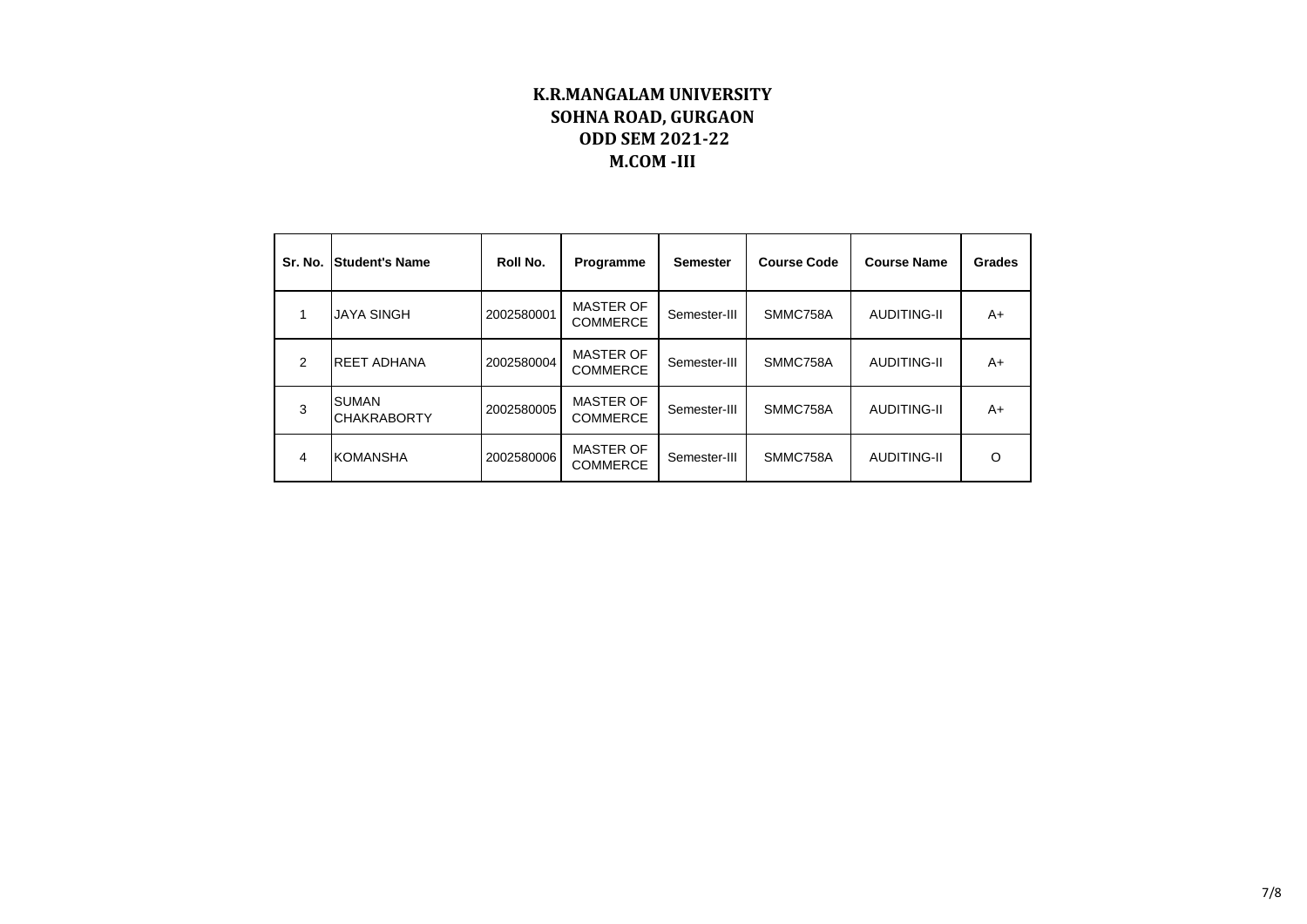| Sr. No.       | <b>Student's Name</b>              | Roll No.   | Programme                           | <b>Semester</b> | <b>Course Code</b> | <b>Course Name</b> | Grades   |
|---------------|------------------------------------|------------|-------------------------------------|-----------------|--------------------|--------------------|----------|
|               | <b>JAYA SINGH</b>                  | 2002580001 | <b>MASTER OF</b><br><b>COMMERCE</b> | Semester-III    | SMMC758A           | <b>AUDITING-II</b> | $A+$     |
| $\mathcal{P}$ | <b>REET ADHANA</b>                 | 2002580004 | <b>MASTER OF</b><br><b>COMMERCE</b> | Semester-III    | SMMC758A           | <b>AUDITING-II</b> | $A+$     |
| 3             | <b>SUMAN</b><br><b>CHAKRABORTY</b> | 2002580005 | <b>MASTER OF</b><br><b>COMMERCE</b> | Semester-III    | SMMC758A           | <b>AUDITING-II</b> | $A+$     |
| 4             | <b>KOMANSHA</b>                    | 2002580006 | <b>MASTER OF</b><br><b>COMMERCE</b> | Semester-III    | SMMC758A           | <b>AUDITING-II</b> | $\Omega$ |